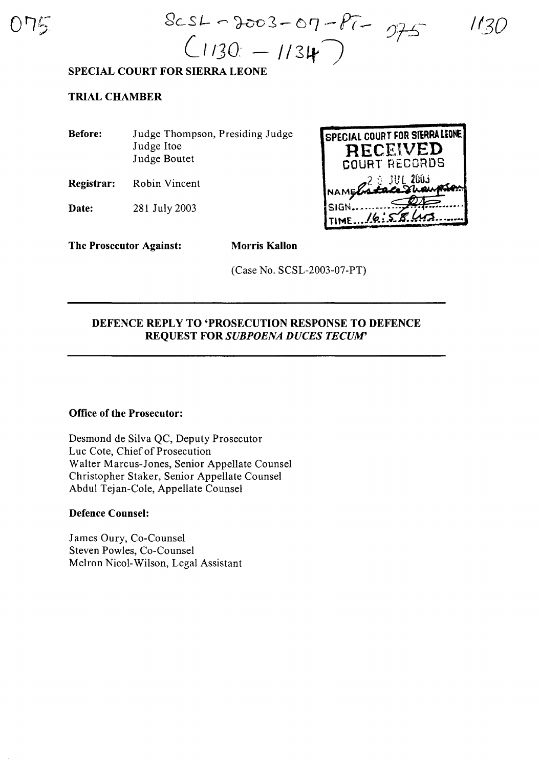

 $8cst - 3003 - 07 - Pt$  $C$ 1130 - 1134

**/1.3D**

### **SPECIAL COURT FOR SIERRA LEONE**

## **TRIAL CHAMBER**

**Before:** Judge Thompson, Presiding Judge Judge Hoe Judge Boutet

**Registrar:** Robin Vincent

**Date:** 281 July 2003



**The Prosecutor Against: Morris Kallon**

(Case No. SCSL-2003-07-PT)

# **DEFENCE REPLY TO 'PROSECUTION RESPONSE TO DEFENCE REQUEST FOR** *SUBPOENA DUCES TECUM'*

### **Office of the Prosecutor:**

Desmond de Silva QC, Deputy Prosecutor Luc Cote, Chief of Prosecution Walter Marcus-Jones, Senior Appellate Counsel Christopher Staker, Senior Appellate Counsel Abdul Tejan-Cole, Appellate Counsel

#### **Defence Counsel:**

James Oury, Co-Counsel Steven Powles, Co-Counsel Melron Nicol-Wilson, Legal Assistant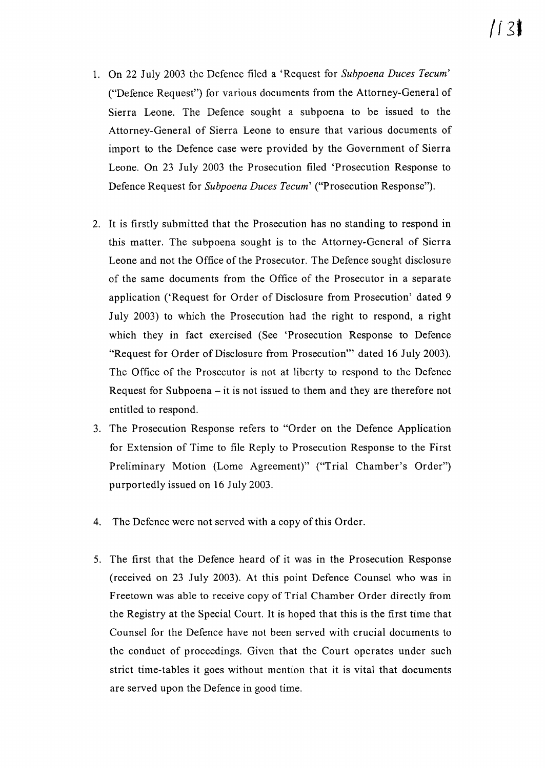- 1. On 22 July 2003 the Defence filed a 'Request for *Subpoena Duces Tecum'* ("Defence Request") for various documents from the Attorney-General of Sierra Leone. The Defence sought a subpoena to be issued to the Attorney-General of Sierra Leone to ensure that various documents of import to the Defence case were provided by the Government of Sierra Leone. On 23 July 2003 the Prosecution filed 'Prosecution Response to Defence Request for *Subpoena Duces Tecum'* ("Prosecution Response").
- 2. It is firstly submitted that the Prosecution has no standing to respond in this matter. The subpoena sought is to the Attorney-General of Sierra Leone and not the Office of the Prosecutor. The Defence sought disclosure of the same documents from the Office of the Prosecutor in a separate application ('Request for Order of Disclosure from Prosecution' dated 9 July 2003) to which the Prosecution had the right to respond, a right which they in fact exercised (See 'Prosecution Response to Defence "Request for Order of Disclosure from Prosecution'" dated 16 July 2003). The Office of the Prosecutor is not at liberty to respond to the Defence Request for Subpoena  $-$  it is not issued to them and they are therefore not entitled to respond.
- 3. The Prosecution Response refers to "Order on the Defence Application for Extension of Time to file Reply to Prosecution Response to the First Preliminary Motion (Lome Agreement)" ("Trial Chamber's Order") purportedly issued on 16 July 2003.
- 4. The Defence were not served with a copy of this Order.
- 5. The first that the Defence heard of it was in the Prosecution Response (received on 23 July 2003). At this point Defence Counsel who was in Freetown was able to receive copy of Trial Chamber Order directly from the Registry at the Special Court. It is hoped that this is the first time that Counsel for the Defence have not been served with crucial documents to the conduct of proceedings. Given that the Court operates under such strict time-tables it goes without mention that it is vital that documents are served upon the Defence in good time.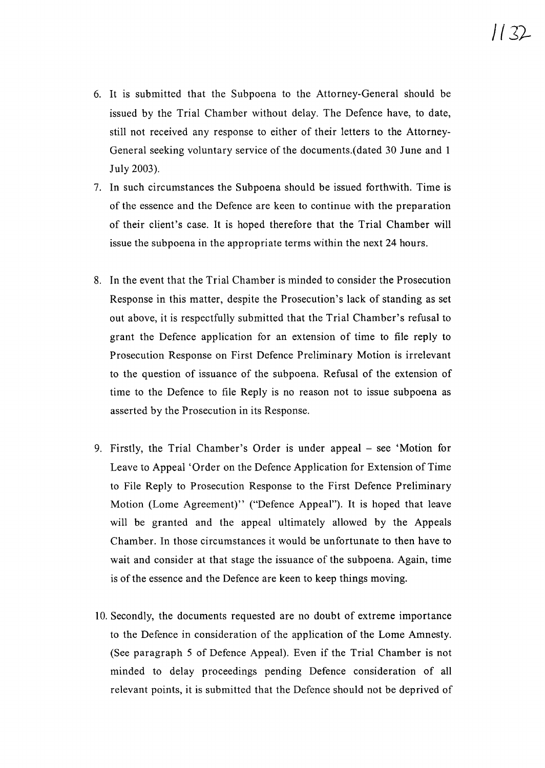- 6. It is submitted that the Subpoena to the Attorney-General should be issued by the Trial Chamber without delay. The Defence have, to date, still not received any response to either of their letters to the Attorney-General seeking voluntary service of the documents.(dated 30 June and 1 July 2003).
- 7. In such circumstances the Subpoena should be issued forthwith. Time is of the essence and the Defence are keen to continue with the preparation of their client's case. It is hoped therefore that the Trial Chamber will issue the subpoena in the appropriate terms within the next 24 hours.
- 8. In the event that the Trial Chamber is minded to consider the Prosecution Response in this matter, despite the Prosecution's lack of standing as set out above, it is respectfully submitted that the Trial Chamber's refusal to grant the Defence application for an extension of time to file reply to Prosecution Response on First Defence Preliminary Motion is irrelevant to the question of issuance of the subpoena. Refusal of the extension of time to the Defence to file Reply is no reason not to issue subpoena as asserted by the Prosecution in its Response.
- 9. Firstly, the Trial Chamber's Order is under appeal see 'Motion for Leave to Appeal 'Order on the Defence Application for Extension of Time to File Reply to Prosecution Response to the First Defence Preliminary Motion (Lome Agreement)" ("Defence Appeal"). It is hoped that leave will be granted and the appeal ultimately allowed by the Appeals Chamber. In those circumstances it would be unfortunate to then have to wait and consider at that stage the issuance of the subpoena. Again, time is of the essence and the Defence are keen to keep things moving.
- 10. Secondly, the documents requested are no doubt of extreme importance to the Defence in consideration of the application of the Lome Amnesty. (See paragraph 5 of Defence Appeal). Even if the Trial Chamber is not minded to delay proceedings pending Defence consideration of all relevant points, it is submitted that the Defence should not be deprived of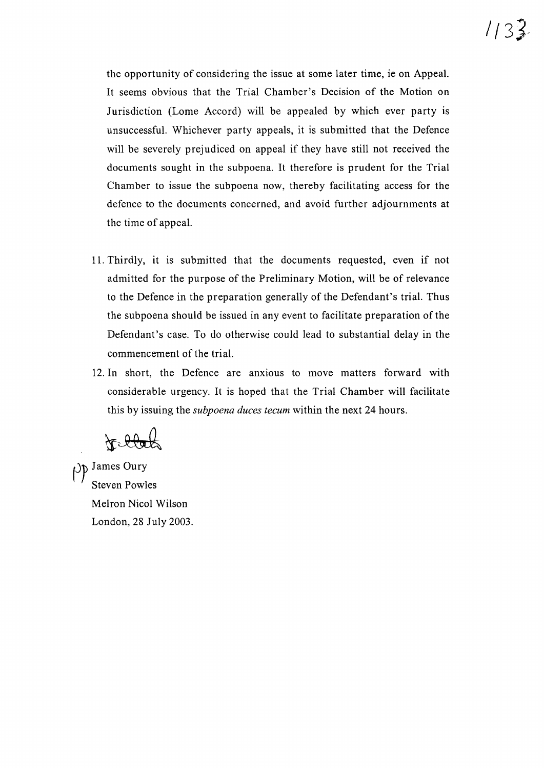the opportunity of considering the issue at some later time, ie on Appeal. It seems obvious that the Trial Chamber's Decision of the Motion on Jurisdiction (Lome Accord) will be appealed by which ever party is unsuccessful. Whichever party appeals, it is submitted that the Defence will be severely prejudiced on appeal if they have still not received the documents sought in the subpoena. It therefore is prudent for the Trial Chamber to issue the subpoena now, thereby facilitating access for the defence to the documents concerned, and avoid further adjournments at the time of appeal.

- 11. Thirdly, it is submitted that the documents requested, even if not admitted for the purpose of the Preliminary Motion, will be of relevance to the Defence in the preparation generally of the Defendant's trial. Thus the subpoena should be issued in any event to facilitate preparation of the Defendant's case. To do otherwise could lead to substantial delay in the commencement of the trial.
- 12. In short, the Defence are anxious to move matters forward with considerable urgency. It is hoped that the Trial Chamber will facilitate this by issuing the *subpoena duces tecum* within the next 24 hours.

to black

 $\rho$  James Oury Steven Powles Melron Nicol Wilson London, 28 July 2003.